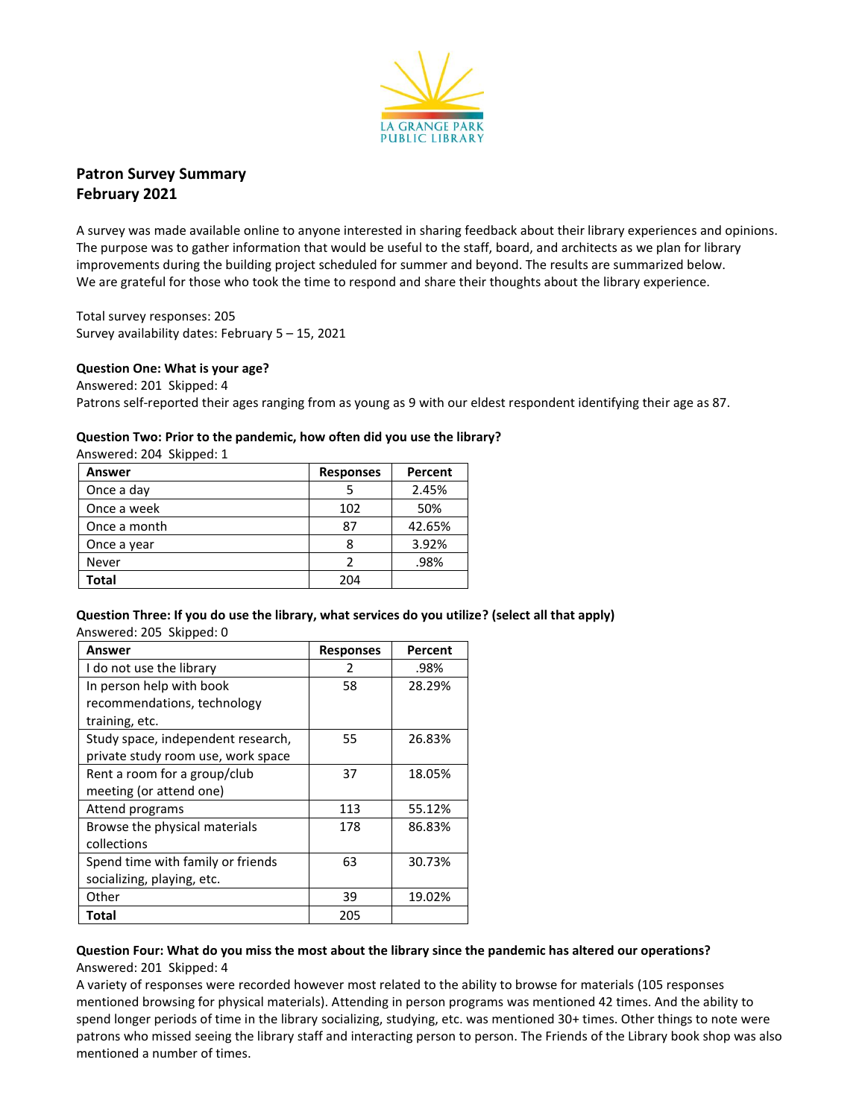

**Patron Survey Summary February 2021**

A survey was made available online to anyone interested in sharing feedback about their library experiences and opinions. The purpose was to gather information that would be useful to the staff, board, and architects as we plan for library improvements during the building project scheduled for summer and beyond. The results are summarized below. We are grateful for those who took the time to respond and share their thoughts about the library experience.

Total survey responses: 205 Survey availability dates: February 5 – 15, 2021

### **Question One: What is your age?**

Answered: 201 Skipped: 4 Patrons self-reported their ages ranging from as young as 9 with our eldest respondent identifying their age as 87.

### **Question Two: Prior to the pandemic, how often did you use the library?**

Answered: 204 Skipped: 1

| Answer       | <b>Responses</b> | Percent |
|--------------|------------------|---------|
| Once a day   |                  | 2.45%   |
| Once a week  | 102              | 50%     |
| Once a month | 87               | 42.65%  |
| Once a year  | 8                | 3.92%   |
| Never        | 2                | .98%    |
| Total        | 204              |         |

**Question Three: If you do use the library, what services do you utilize? (select all that apply)** Answered: 205 Skipped: 0

| Answer                             | <b>Responses</b> | Percent |
|------------------------------------|------------------|---------|
| I do not use the library           | 2                | .98%    |
| In person help with book           | 58               | 28.29%  |
| recommendations, technology        |                  |         |
| training, etc.                     |                  |         |
| Study space, independent research, | 55               | 26.83%  |
| private study room use, work space |                  |         |
| Rent a room for a group/club       | 37               | 18.05%  |
| meeting (or attend one)            |                  |         |
| Attend programs                    | 113              | 55.12%  |
| Browse the physical materials      | 178              | 86.83%  |
| collections                        |                  |         |
| Spend time with family or friends  | 63               | 30.73%  |
| socializing, playing, etc.         |                  |         |
| Other                              | 39               | 19.02%  |
| Total                              | 205              |         |

### **Question Four: What do you miss the most about the library since the pandemic has altered our operations?** Answered: 201 Skipped: 4

A variety of responses were recorded however most related to the ability to browse for materials (105 responses mentioned browsing for physical materials). Attending in person programs was mentioned 42 times. And the ability to spend longer periods of time in the library socializing, studying, etc. was mentioned 30+ times. Other things to note were patrons who missed seeing the library staff and interacting person to person. The Friends of the Library book shop was also mentioned a number of times.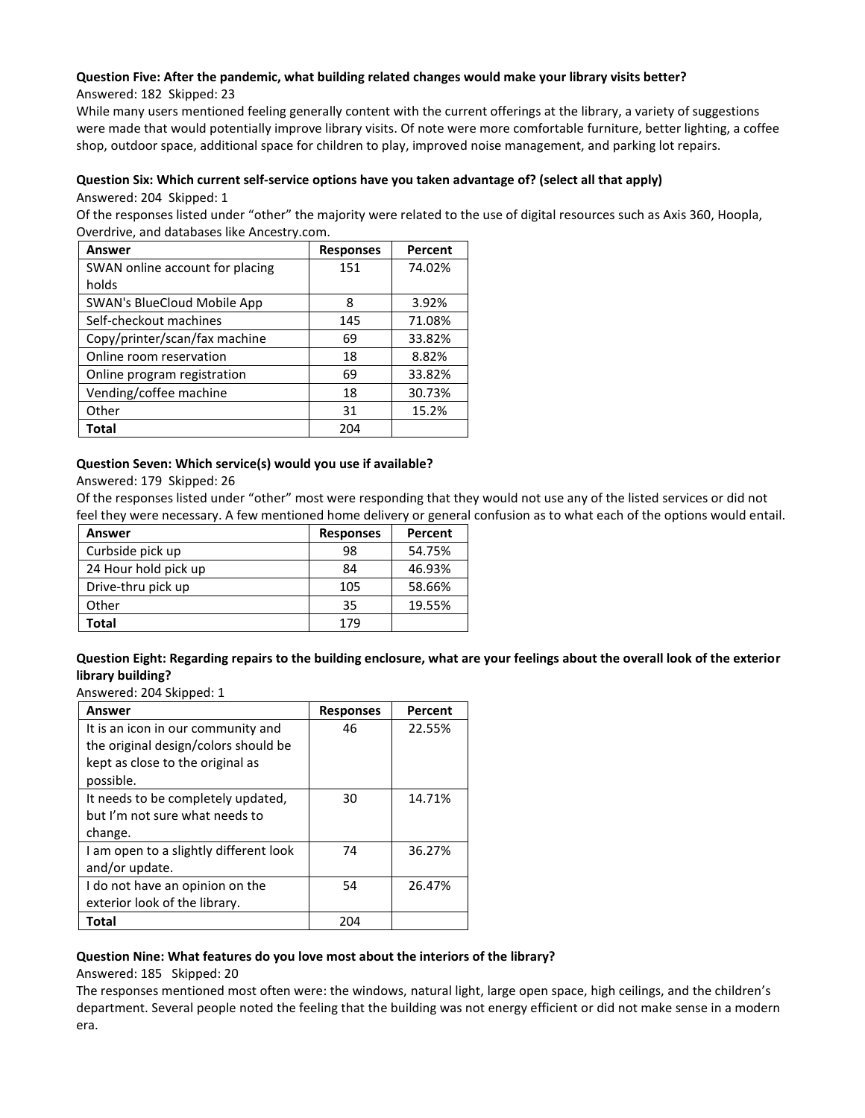# **Question Five: After the pandemic, what building related changes would make your library visits better?**

Answered: 182 Skipped: 23

While many users mentioned feeling generally content with the current offerings at the library, a variety of suggestions were made that would potentially improve library visits. Of note were more comfortable furniture, better lighting, a coffee shop, outdoor space, additional space for children to play, improved noise management, and parking lot repairs.

# **Question Six: Which current self-service options have you taken advantage of? (select all that apply)** Answered: 204 Skipped: 1

Of the responses listed under "other" the majority were related to the use of digital resources such as Axis 360, Hoopla, Overdrive, and databases like Ancestry.com.

| Answer                          | <b>Responses</b> | Percent |
|---------------------------------|------------------|---------|
| SWAN online account for placing | 151              | 74.02%  |
| holds                           |                  |         |
| SWAN's BlueCloud Mobile App     | 8                | 3.92%   |
| Self-checkout machines          | 145              | 71.08%  |
| Copy/printer/scan/fax machine   | 69               | 33.82%  |
| Online room reservation         | 18               | 8.82%   |
| Online program registration     | 69               | 33.82%  |
| Vending/coffee machine          | 18               | 30.73%  |
| Other                           | 31               | 15.2%   |
| Total                           | 204              |         |

# **Question Seven: Which service(s) would you use if available?**

Answered: 179 Skipped: 26

Of the responses listed under "other" most were responding that they would not use any of the listed services or did not feel they were necessary. A few mentioned home delivery or general confusion as to what each of the options would entail.

| Answer               | <b>Responses</b> | Percent |
|----------------------|------------------|---------|
| Curbside pick up     | 98               | 54.75%  |
| 24 Hour hold pick up | 84               | 46.93%  |
| Drive-thru pick up   | 105              | 58.66%  |
| Other                | 35               | 19.55%  |
| Total                | 179              |         |

**Question Eight: Regarding repairs to the building enclosure, what are your feelings about the overall look of the exterior library building?**

Answered: 204 Skipped: 1

| Answer                                 | <b>Responses</b> | Percent |
|----------------------------------------|------------------|---------|
| It is an icon in our community and     | 46               | 22.55%  |
| the original design/colors should be   |                  |         |
| kept as close to the original as       |                  |         |
| possible.                              |                  |         |
| It needs to be completely updated,     | 30               | 14.71%  |
| but I'm not sure what needs to         |                  |         |
| change.                                |                  |         |
| I am open to a slightly different look | 74               | 36.27%  |
| and/or update.                         |                  |         |
| I do not have an opinion on the        | 54               | 26.47%  |
| exterior look of the library.          |                  |         |
| Total                                  | 204              |         |

## **Question Nine: What features do you love most about the interiors of the library?**

## Answered: 185 Skipped: 20

The responses mentioned most often were: the windows, natural light, large open space, high ceilings, and the children's department. Several people noted the feeling that the building was not energy efficient or did not make sense in a modern era.